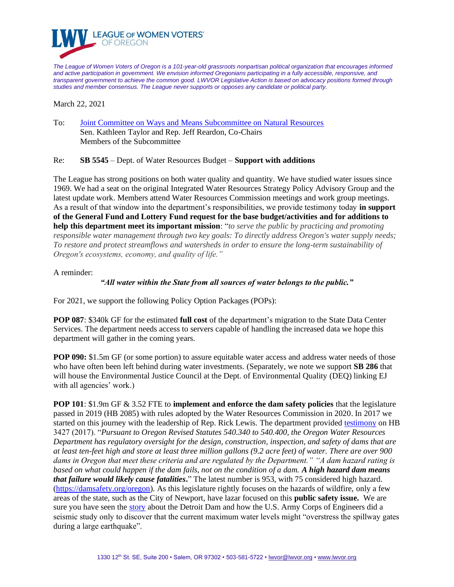

*The League of Women Voters of Oregon is a 101-year-old grassroots nonpartisan political organization that encourages informed and active participation in government. We envision informed Oregonians participating in a fully accessible, responsive, and transparent government to achieve the common good. LWVOR Legislative Action is based on advocacy positions formed through studies and member consensus. The League never supports or opposes any candidate or political party.*

March 22, 2021

To: [Joint Committee on Ways and Means Subcommittee on Natural Resources](https://olis.oregonlegislature.gov/liz/2021R1/Committees/JWMNR/Overview) Sen. Kathleen Taylor and Rep. Jeff Reardon, Co-Chairs Members of the Subcommittee

Re: **SB 5545** – Dept. of Water Resources Budget – **Support with additions**

The League has strong positions on both water quality and quantity. We have studied water issues since 1969. We had a seat on the original Integrated Water Resources Strategy Policy Advisory Group and the latest update work. Members attend Water Resources Commission meetings and work group meetings. As a result of that window into the department's responsibilities, we provide testimony today **in support of the General Fund and Lottery Fund request for the base budget/activities and for additions to help this department meet its important mission**: "*to serve the public by practicing and promoting responsible water management through two key goals: To directly address Oregon's water supply needs; To restore and protect streamflows and watersheds in order to ensure the long-term sustainability of Oregon's ecosystems, economy, and quality of life."*

A reminder:

## *"All water within the State from all sources of water belongs to the public."*

For 2021, we support the following Policy Option Packages (POPs):

**POP 087**: \$340k GF for the estimated **full cost** of the department's migration to the State Data Center Services. The department needs access to servers capable of handling the increased data we hope this department will gather in the coming years.

**POP 090:** \$1.5m GF (or some portion) to assure equitable water access and address water needs of those who have often been left behind during water investments. (Separately, we note we support **SB 286** that will house the Environmental Justice Council at the Dept. of Environmental Quality (DEQ) linking EJ with all agencies' work.)

**POP 101**: \$1.9m GF & 3.52 FTE to **implement and enforce the dam safety policies** that the legislature passed in 2019 (HB 2085) with rules adopted by the Water Resources Commission in 2020. In 2017 we started on this journey with the leadership of Rep. Rick Lewis. The department provided [testimony](https://olis.oregonlegislature.gov/liz/2017R1/Downloads/CommitteeMeetingDocument/115925) on HB 3427 (2017). "*Pursuant to Oregon Revised Statutes 540.340 to 540.400, the Oregon Water Resources Department has regulatory oversight for the design, construction, inspection, and safety of dams that are at least ten-feet high and store at least three million gallons (9.2 acre feet) of water. There are over 900 dams in Oregon that meet these criteria and are regulated by the Department." "A dam hazard rating is based on what could happen if the dam fails, not on the condition of a dam. A high hazard dam means that failure would likely cause fatalities***.**" The latest number is 953, with 75 considered high hazard. [\(https://damsafety.org/oregon\)](https://damsafety.org/oregon). As this legislature rightly focuses on the hazards of wildfire, only a few areas of the state, such as the City of Newport, have lazar focused on this **public safety issue.** We are sure you have seen the [story](https://www.opb.org/article/2021/03/16/officials-a-dam-in-oregon-could-fail-in-a-large-earthquake/) about the Detroit Dam and how the U.S. Army Corps of Engineers did a seismic study only to discover that the current maximum water levels might "overstress the spillway gates during a large earthquake".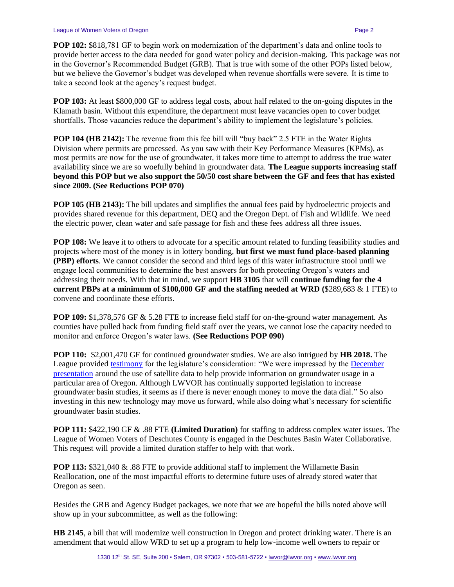**POP 102:** \$818,781 GF to begin work on modernization of the department's data and online tools to provide better access to the data needed for good water policy and decision-making. This package was not in the Governor's Recommended Budget (GRB). That is true with some of the other POPs listed below, but we believe the Governor's budget was developed when revenue shortfalls were severe. It is time to take a second look at the agency's request budget.

**POP 103:** At least \$800,000 GF to address legal costs, about half related to the on-going disputes in the Klamath basin. Without this expenditure, the department must leave vacancies open to cover budget shortfalls. Those vacancies reduce the department's ability to implement the legislature's policies.

**POP 104 (HB 2142):** The revenue from this fee bill will "buy back" 2.5 FTE in the Water Rights Division where permits are processed. As you saw with their Key Performance Measures (KPMs), as most permits are now for the use of groundwater, it takes more time to attempt to address the true water availability since we are so woefully behind in groundwater data. **The League supports increasing staff beyond this POP but we also support the 50/50 cost share between the GF and fees that has existed since 2009. (See Reductions POP 070)**

**POP 105 (HB 2143):** The bill updates and simplifies the annual fees paid by hydroelectric projects and provides shared revenue for this department, DEQ and the Oregon Dept. of Fish and Wildlife. We need the electric power, clean water and safe passage for fish and these fees address all three issues.

**POP 108:** We leave it to others to advocate for a specific amount related to funding feasibility studies and projects where most of the money is in lottery bonding, **but first we must fund place-based planning (PBP) efforts**. We cannot consider the second and third legs of this water infrastructure stool until we engage local communities to determine the best answers for both protecting Oregon's waters and addressing their needs. With that in mind, we support **HB 3105** that will **continue funding for the 4 current PBPs at a minimum of \$100,000 GF and the staffing needed at WRD (**\$289,683 & 1 FTE) to convene and coordinate these efforts.

**POP 109:** \$1,378,576 GF & 5.28 FTE to increase field staff for on-the-ground water management. As counties have pulled back from funding field staff over the years, we cannot lose the capacity needed to monitor and enforce Oregon's water laws. **(See Reductions POP 090)**

**POP 110:** \$2,001,470 GF for continued groundwater studies. We are also intrigued by **HB 2018.** The League provided [testimony](https://olis.oregonlegislature.gov/liz/2021R1/Downloads/PublicTestimonyDocument/11980) for the legislature's consideration: "We were impressed by the December [presentation](https://olis.oregonlegislature.gov/liz/2019I1/Downloads/CommitteeMeetingDocument/227619) around the use of satellite data to help provide information on groundwater usage in a particular area of Oregon. Although LWVOR has continually supported legislation to increase groundwater basin studies, it seems as if there is never enough money to move the data dial." So also investing in this new technology may move us forward, while also doing what's necessary for scientific groundwater basin studies.

**POP 111:** \$422,190 GF & .88 FTE **(Limited Duration)** for staffing to address complex water issues. The League of Women Voters of Deschutes County is engaged in the Deschutes Basin Water Collaborative. This request will provide a limited duration staffer to help with that work.

**POP 113:** \$321,040 & .88 FTE to provide additional staff to implement the Willamette Basin Reallocation, one of the most impactful efforts to determine future uses of already stored water that Oregon as seen.

Besides the GRB and Agency Budget packages, we note that we are hopeful the bills noted above will show up in your subcommittee, as well as the following:

**HB 2145**, a bill that will modernize well construction in Oregon and protect drinking water. There is an amendment that would allow WRD to set up a program to help low-income well owners to repair or